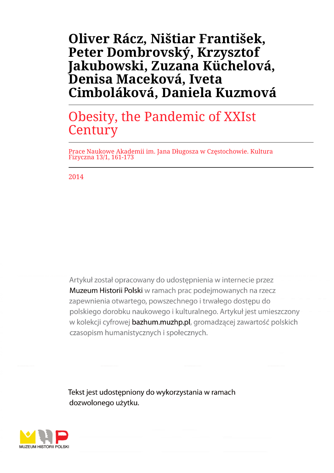# **Oliver Rácz, Ništiar František, Peter Dombrovský, Krzysztof Jakubowski, Zuzana Küchelová, Denisa Maceková, Iveta Cimboláková, Daniela Kuzmová**

# Obesity, the Pandemic of XXIst **Century**

Prace Naukowe Akademii im. Jana Długosza w Częstochowie. Kultura Fizyczna 13/1, 161-173

2014

Artykuł został opracowany do udostepnienia w internecie przez Muzeum Historii Polski w ramach prac podejmowanych na rzecz zapewnienia otwartego, powszechnego i trwałego dostępu do polskiego dorobku naukowego i kulturalnego. Artykuł jest umieszczony w kolekcji cyfrowej bazhum.muzhp.pl, gromadzącej zawartość polskich czasopism humanistycznych i społecznych.

Tekst jest udostępniony do wykorzystania w ramach dozwolonego użytku.

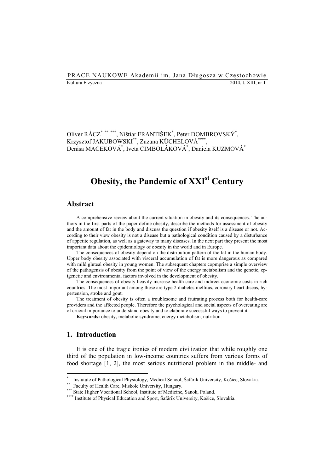#### PRACE NAUKOWE Akademii im. Jana Długosza w Częstochowie Kultura Fizyczna 2014, t. XIII, nr 1

Oliver RÁCZ**\***, **\*\***, **\*\*\***, Ništiar FRANTIŠEK\* , Peter DOMBROVSKÝ\* , Krzysztof JAKUBOWSKI\*\*, Zuzana KÜCHELOVÁ**\*\*\*\***, Denisa MACEKOVÁ\* , Iveta CIMBOLÁKOVÁ\* , Daniela KUZMOVÁ\*

## **Obesity, the Pandemic of XXI<sup>st</sup> Century**

#### **Abstract**

A comprehensive review about the current situation in obesity and its consequences. The authors in the first parts of the paper define obesity, describe the methods for assessment of obesity and the amount of fat in the body and discuss the question if obesity itself is a disease or not. According to their view obesity is not a disease but a pathological condition caused by a disturbance of appetite regulation, as well as a gateway to many diseases. In the next part they present the most important data about the epidemiology of obesity in the world and in Europe.

The consequences of obesity depend on the distribution pattern of the fat in the human body. Upper body obesity associated with visceral accumulation of fat is more dangerous as compared with mild gluteal obesity in young women. The subsequent chapters copmprise a simple overview of the pathogensis of obesity from the point of view of the energy metabolism and the genetic, epigenetic and environmental factors involved in the development of obesity.

The consequences of obesity heavily increase health care and indirect economic costs in rich countries. The most important among these are type 2 diabetes mellitus, coronary heart diseas, hypertension, stroke and gout.

The treatment of obesity is often a troublesome and frutrating process both for health-care providers and the affected people. Therefore the psychological and social aspects of overeating are of crucial importance to understand obesity and to elaborate successful ways to prevent it.

**Keywords:** obesity, metabolic syndrome, energy metabolism, nutrition

#### **1. Introduction**

 $\overline{a}$ 

It is one of the tragic ironies of modern civilization that while roughly one third of the population in low-income countries suffers from various forms of food shortage [1, 2], the most serious nutritional problem in the middle- and

<sup>\*</sup> \* Instutute of Pathological Physiology, Medical School, Šafárik University, Košice, Slovakia.<br>\*\* Faculty of Health Care, Miskolc University, Hungary.<br>\*\*\* State Higher Vocational School, Institute of Medicine, Sanok, Poland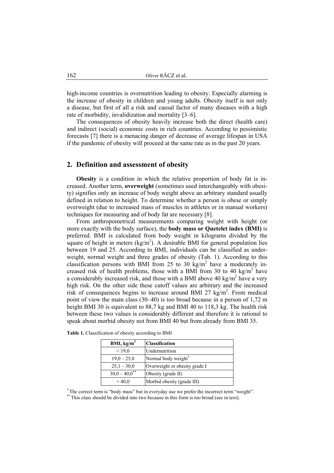high-income countries is overnutrition leading to obesity. Especially alarming is the increase of obesity in children and young adults. Obesity itself is not only a disease, but first of all a risk and causal factor of many diseases with a high rate of morbidity, invalidization and mortality [3–6].

The consequences of obesity heavily increase both the direct (health care) and indirect (social) economic costs in rich countries. According to pessimistic forecasts [7] there is a menacing danger of decrease of average lifespan in USA if the pandemic of obesity will proceed at the same rate as in the past 20 years.

#### **2. Definition and assessment of obesity**

**Obesity** is a condition in which the relative proportion of body fat is increased. Another term, **overweight** (sometimes used interchangeably with obesity) signifies only an increase of body weight above an arbitrary standard usually defined in relation to height. To determine whether a person is obese or simply overweight (due to increased mass of muscles in athletes or in manual workers) techniques for measuring and of body fat are necessary [8].

From anthropometrical measurements comparing weight with height (or more exactly with the body surface), the **body mass or Quetelet index (BMI)** is preferred. BMI is calculated from body weight in kilograms divided by the square of height in meters  $(kg/m<sup>2</sup>)$ . A desirable BMI for general population lies between 19 and 25. According to BMI, individuals can be classified as underweight, normal weight and three grades of obesity (Tab. 1). According to this classification persons with BMI from 25 to 30 kg/m<sup>2</sup> have a moderately increased risk of health problems, those with a BMI from 30 to 40 kg/m<sup>2</sup> have a considerably increased risk, and those with a BMI above 40 kg/m<sup>2</sup> have a very high risk. On the other side these cutoff values are arbitrary and the increased risk of consequences begins to increase around BMI 27  $\text{kg/m}^2$ . From medical point of view the main class (30–40) is too broad because in a person of 1,72 m height BMI 30 is equivalent to 88,7 kg and BMI 40 to 118,3 kg. The health risk between these two values is considerably different and therefore it is rational to speak about morbid obesity not from BMI 40 but from already from BMI 35.

| BMI, $kg/m2$       | <b>Classification</b>         |
|--------------------|-------------------------------|
| ${}_{< 19,0}$      | Undernutrition                |
| $19,0 - 25,0$      | Normal body weight*           |
| $25,1 - 30,0$      | Overweight or obesity grade I |
| $30,0 - 40,0^{**}$ | Obesity (grade II)            |
| >40.0              | Morbid obesity (grade III)    |

**Table 1.** Classification of obesity according to BMI

\* The correct term is "body mass" but in everyday use we prefer the incorrect term "weight".

\*\* This class should be divided into two because in this form is too broad (see in text).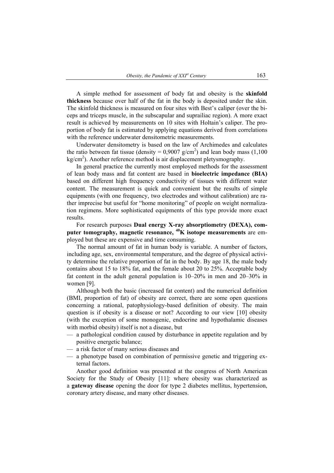A simple method for assessment of body fat and obesity is the **skinfold thickness** because over half of the fat in the body is deposited under the skin. The skinfold thickness is measured on four sites with Best's caliper (over the biceps and triceps muscle, in the subscapular and suprailiac region). A more exact result is achieved by measurements on 10 sites with Holtain's caliper. The proportion of body fat is estimated by applying equations derived from correlations with the reference underwater densitometric measurements.

Underwater densitometry is based on the law of Archimedes and calculates the ratio between fat tissue (density =  $0.9007$  g/cm<sup>2</sup>) and lean body mass (1,100  $kg/cm<sup>2</sup>$ ). Another reference method is air displacement pletysmography.

In general practice the currently most employed methods for the assessment of lean body mass and fat content are based in **bioelectric impedance (BIA)**  based on different high frequency conductivity of tissues with different water content. The measurement is quick and convenient but the results of simple equipments (with one frequency, two electrodes and without calibration) are rather imprecise but useful for "home monitoring" of people on weight normalization regimens. More sophisticated equipments of this type provide more exact results.

For research purposes **Dual energy X-ray absorptiometry (DEXA), computer tomography, magnetic resonance, 40K isotope measurements** are employed but these are expensive and time consuming.

The normal amount of fat in human body is variable. A number of factors, including age, sex, environmental temperature, and the degree of physical activity determine the relative proportion of fat in the body. By age 18, the male body contains about 15 to 18% fat, and the female about 20 to 25%. Acceptable body fat content in the adult general population is 10–20% in men and 20–30% in women [9].

Although both the basic (increased fat content) and the numerical definition (BMI, proportion of fat) of obesity are correct, there are some open questions concerning a rational, patophysiology-based definition of obesity. The main question is if obesity is a disease or not? According to our view [10] obesity (with the exception of some monogenic, endocrine and hypothalamic diseases with morbid obesity) itself is not a disease, but

- a pathological condition caused by disturbance in appetite regulation and by positive energetic balance;
- a risk factor of many serious diseases and
- a phenotype based on combination of permissive genetic and triggering external factors.

Another good definition was presented at the congress of North American Society for the Study of Obesity [11]: where obesity was characterized as a **gateway disease** opening the door for type 2 diabetes mellitus, hypertension, coronary artery disease, and many other diseases.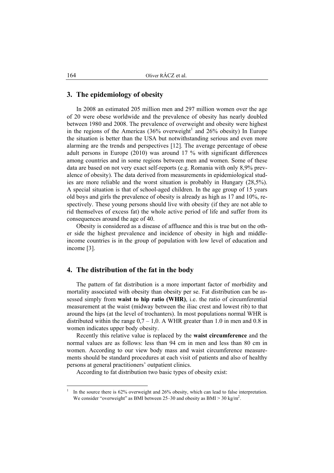#### **3. The epidemiology of obesity**

In 2008 an estimated 205 million men and 297 million women over the age of 20 were obese worldwide and the prevalence of obesity has nearly doubled between 1980 and 2008. The prevalence of overweight and obesity were highest in the regions of the Americas  $(36\%$  overweight<sup>1</sup> and 26% obesity) In Europe the situation is better than the USA but notwithstanding serious and even more alarming are the trends and perspectives [12]. The average percentage of obese adult persons in Europe (2010) was around 17 % with significant differences among countries and in some regions between men and women. Some of these data are based on not very exact self-reports (e.g. Romania with only 8,9% prevalence of obesity). The data derived from measurements in epidemiological studies are more reliable and the worst situation is probably in Hungary (28,5%). A special situation is that of school-aged children. In the age group of 15 years old boys and girls the prevalence of obesity is already as high as 17 and 10%, respectively. These young persons should live with obesity (if they are not able to rid themselves of excess fat) the whole active period of life and suffer from its consequences around the age of 40.

Obesity is considered as a disease of affluence and this is true but on the other side the highest prevalence and incidence of obesity in high and middleincome countries is in the group of population with low level of education and income [3].

#### **4. The distribution of the fat in the body**

The pattern of fat distribution is a more important factor of morbidity and mortality associated with obesity than obesity per se. Fat distribution can be assessed simply from **waist to hip ratio (WHR)**, i.e. the ratio of circumferential measurement at the waist (midway between the iliac crest and lowest rib) to that around the hips (at the level of trochanters). In most populations normal WHR is distributed within the range  $0.7 - 1.0$ . A WHR greater than 1.0 in men and 0.8 in women indicates upper body obesity.

Recently this relative value is replaced by the **waist circumference** and the normal values are as follows: less than 94 cm in men and less than 80 cm in women. According to our view body mass and waist circumference measurements should be standard procedures at each visit of patients and also of healthy persons at general practitioners' outpatient clinics.

According to fat distribution two basic types of obesity exist:

 $\overline{a}$ 

<sup>1</sup> In the source there is 62% overweight and 26% obesity, which can lead to false interpretation. We consider "overweight" as BMI between  $25-30$  and obesity as BMI  $> 30$  kg/m<sup>2</sup>.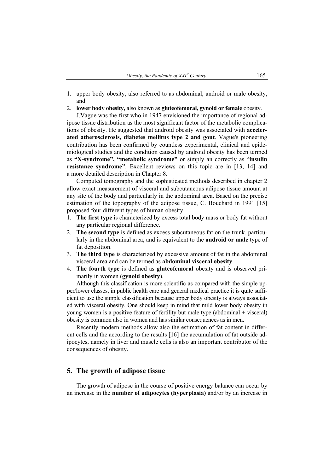- 1. upper body obesity, also referred to as abdominal, android or male obesity, and
- 2. **lower body obesity,** also known as **gluteofemoral, gynoid or female** obesity.

J.Vague was the first who in 1947 envisioned the importance of regional adipose tissue distribution as the most significant factor of the metabolic complications of obesity. He suggested that android obesity was associated with **accelerated atherosclerosis, diabetes mellitus type 2 and gout**. Vague's pioneering contribution has been confirmed by countless experimental, clinical and epidemiological studies and the condition caused by android obesity has been termed as **"X-syndrome", "metabolic syndrome"** or simply an correctly as "**insulin resistance syndrome"**. Excellent reviews on this topic are in [13, 14] and a more detailed description in Chapter 8.

Computed tomography and the sophisticated methods described in chapter 2 allow exact measurement of visceral and subcutaneous adipose tissue amount at any site of the body and particularly in the abdominal area. Based on the precise estimation of the topography of the adipose tissue, C. Bouchard in 1991 [15] proposed four different types of human obesity:

- 1. **The first type** is characterized by excess total body mass or body fat without any particular regional difference.
- 2. **The second type** is defined as excess subcutaneous fat on the trunk, particularly in the abdominal area, and is equivalent to the **android or male** type of fat deposition.
- 3. **The third type** is characterized by excessive amount of fat in the abdominal visceral area and can be termed as **abdominal visceral obesity**.
- 4. **The fourth type** is defined as **gluteofemoral** obesity and is observed primarily in women (**gynoid obesity**).

Although this classification is more scientific as compared with the simple upper/lower classes, in public health care and general medical practice it is quite sufficient to use the simple classification because upper body obesity is always associated with visceral obesity. One should keep in mind that mild lower body obesity in young women is a positive feature of fertility but male type (abdominal + visceral) obesity is common also in women and has similar consequences as in men.

Recently modern methods allow also the estimation of fat content in different cells and the according to the results [16] the accumulation of fat outside adipocytes, namely in liver and muscle cells is also an important contributor of the consequences of obesity.

#### **5. The growth of adipose tissue**

The growth of adipose in the course of positive energy balance can occur by an increase in the **number of adipocytes (hyperplasia)** and/or by an increase in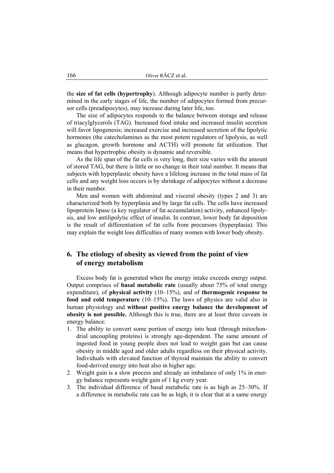the **size of fat cells (hypertrophy**). Although adipocyte number is partly determined in the early stages of life, the number of adipocytes formed from precursor cells (preadipocytes), may increase during later life, too.

The size of adipocytes responds to the balance between storage and release of triacylglycerols (TAG). Increased food intake and increased insulin secretion will favor lipogenesis; increased exercise and increased secretion of the lipolytic hormones (the catecholamines as the most potent regulators of lipolysis, as well as glucagon, growth hormone and ACTH) will promote fat utilization. That means that hypertrophic obesity is dynamic and reversible.

As the life span of the fat cells is very long, their size varies with the amount of stored TAG, but there is little or no change in their total number. It means that subjects with hyperplastic obesity have a lifelong increase in the total mass of fat cells and any weight loss occurs is by shrinkage of adipocytes without a decrease in their number.

Men and women with abdominal and visceral obesity (types 2 and 3) are characterized both by hyperplasia and by large fat cells. The cells have increased lipoprotein lipase (a key regulator of fat accumulation) activity, enhanced lipolysis, and low antilipolytic effect of insulin. In contrast, lower body fat deposition is the result of differentiation of fat cells from precursors (hyperplasia). This may explain the weight loss difficulties of many women with lower body obesity.

### **6. The etiology of obesity as viewed from the point of view of energy metabolism**

Excess body fat is generated when the energy intake exceeds energy output. Output comprises of **basal metabolic rate** (usually about 75% of total energy expenditure), of **physical activity** (10–15%), and of **thermogenic response to food and cold temperature** (10–15%). The laws of physics are valid also in human physiology and **without positive energy balance the development of obesity is not possible.** Although this is true, there are at least three caveats in energy balance:

- 1. The ability to convert some portion of energy into heat (through mitochondrial uncoupling proteins) is strongly age-dependent. The same amount of ingested food in young people does not lead to weight gain but can cause obesity in middle aged and older adults regardless on their physical activity. Individuals with elevated function of thyroid maintain the ability to convert food-derived energy into heat also in higher age.
- 2. Weight gain is a slow process and already an imbalance of only 1% in energy balance represents weight gain of 1 kg every year.
- 3. The individual difference of basal metabolic rate is as high as 25–30%. If a difference in metabolic rate can be as high, it is clear that at a same energy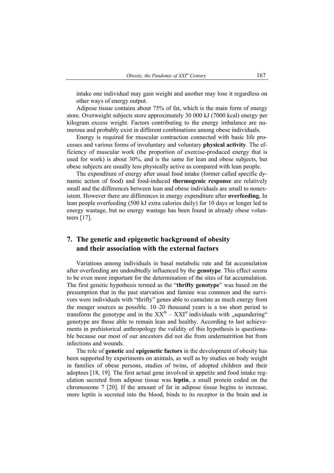intake one individual may gain weight and another may lose it regardless on other ways of energy output.

Adipose tissue contains about 75% of fat, which is the main form of energy store. Overweight subjects store approximately 30 000 kJ (7000 kcal) energy per kilogram excess weight. Factors contributing to the energy imbalance are numerous and probably exist in different combinations among obese individuals.

Energy is required for muscular contraction connected with basic life processes and various forms of involuntary and voluntary **physical activity**. The efficiency of muscular work (the proportion of exercise-produced energy that is used for work) is about 30%, and is the same for lean and obese subjects, but obese subjects are usually less physically active as compared with lean people.

The expenditure of energy after usual food intake (former called specific dynamic action of food) and food-induced **thermogenic response** are relatively small and the differences between lean and obese individuals are small to nonexistent. However there are differences in energy expenditure after **overfeeding.** In lean people overfeeding (500 kJ extra calories daily) for 10 days or longer led to energy wastage, but no energy wastage has been found in already obese volunteers [17].

### **7. The genetic and epigenetic background of obesity and their association with the external factors**

Variations among individuals in basal metabolic rate and fat accumulation after overfeeding are undoubtedly influenced by the **genotype**. This effect seems to be even more important for the determination of the sites of fat accumulation. The first genetic hypothesis termed as the "**thrifty genotype**" was based on the presumption that in the past starvation and famine was common and the survivors were individuals with "thrifty" genes able to cumulate as much energy from the meager sources as possible. 10–20 thousand years is a too short period to transform the genotype and in the  $XX<sup>th</sup> - XXI<sup>st</sup>$  individuals with . squandering" genotype are those able to remain lean and healthy. According to last achievements in prehistorical anthropology the validity of this hypothesis is questionable because our most of our ancestors did not die from undernutrition but from infections and wounds.

The role of **genetic** and **epigenetic factors** in the development of obesity has been supported by experiments on animals, as well as by studies on body weight in families of obese persons, studies of twins, of adopted children and their adoptees [18, 19]. The first actual gene involved in appetite and food intake regulation secreted from adipose tissue was **leptin**, a small protein coded on the chromosome 7 [20]. If the amount of fat in adipose tissue begins to increase, more leptin is secreted into the blood, binds to its receptor in the brain and in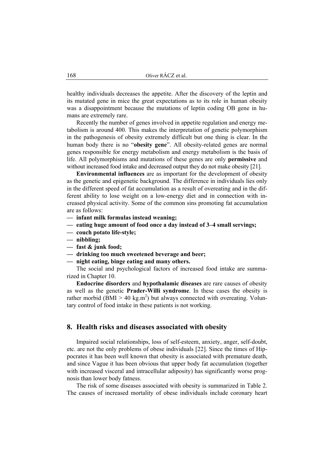healthy individuals decreases the appetite. After the discovery of the leptin and its mutated gene in mice the great expectations as to its role in human obesity was a disappointment because the mutations of leptin coding OB gene in humans are extremely rare.

Recently the number of genes involved in appetite regulation and energy metabolism is around 400. This makes the interpretation of genetic polymorphism in the pathogenesis of obesity extremely difficult but one thing is clear. In the human body there is no "**obesity gene**". All obesity-related genes are normal genes responsible for energy metabolism and energy metabolism is the basis of life. All polymorphisms and mutations of these genes are only **permissive** and without increased food intake and decreased output they do not make obesity [21].

**Environmental influences** are as important for the development of obesity as the genetic and epigenetic background. The difference in individuals lies only in the different speed of fat accumulation as a result of overeating and in the different ability to lose weight on a low-energy diet and in connection with increased physical activity. Some of the common sins promoting fat accumulation are as follows:

- **infant milk formulas instead weaning;**
- **eating huge amount of food once a day instead of 3–4 small servings;**
- **couch potato life-style;**
- **nibbling;**
- **fast & junk food;**
- **drinking too much sweetened beverage and beer;**
- **night eating, binge eating and many others.**

The social and psychological factors of increased food intake are summarized in Chapter 10.

**Endocrine disorders** and **hypothalamic diseases** are rare causes of obesity as well as the genetic **Prader-Willi syndrome**. In these cases the obesity is rather morbid ( $BMI > 40 \text{ kg.m}^2$ ) but always connected with overeating. Voluntary control of food intake in these patients is not working.

#### **8. Health risks and diseases associated with obesity**

Impaired social relationships, loss of self-esteem, anxiety, anger, self-doubt, etc. are not the only problems of obese individuals [22]. Since the times of Hippocrates it has been well known that obesity is associated with premature death, and since Vague it has been obvious that upper body fat accumulation (together with increased visceral and intracellular adiposity) has significantly worse prognosis than lower body fatness.

The risk of some diseases associated with obesity is summarized in Table 2. The causes of increased mortality of obese individuals include coronary heart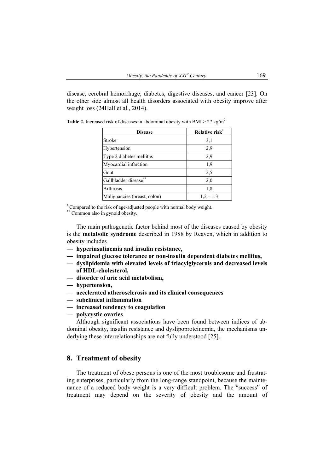disease, cerebral hemorrhage, diabetes, digestive diseases, and cancer [23]. On the other side almost all health disorders associated with obesity improve after weight loss (24Hall et al., 2014).

| <b>Disease</b>               | Relative risk* |
|------------------------------|----------------|
| Stroke                       | 3,1            |
| Hypertension                 | 2,9            |
| Type 2 diabetes mellitus     | 2,9            |
| Myocardial infarction        | 1,9            |
| Gout                         | 2,5            |
| **<br>Gallbladder disease    | 2,0            |
| Arthrosis                    | 1.8            |
| Malignancies (breast, colon) | $1,2-1,3$      |

**Table 2.** Increased risk of diseases in abdominal obesity with BMI  $> 27 \text{ kg/m}^2$ 

\* Compared to the risk of age-adjusted people with normal body weight.

\*\* Common also in gynoid obesity.

The main pathogenetic factor behind most of the diseases caused by obesity is the **metabolic syndrome** described in 1988 by Reaven, which in addition to obesity includes

- **hyperinsulinemia and insulin resistance,**
- **impaired glucose tolerance or non-insulin dependent diabetes mellitus,**
- **dyslipidemia with elevated levels of triacylglycerols and decreased levels of HDL-cholesterol,**
- **disorder of uric acid metabolism,**
- **hypertension,**
- **accelerated atherosclerosis and its clinical consequences**
- **subclinical inflammation**
- **increased tendency to coagulation**
- **polycystic ovaries**

Although significant associations have been found between indices of abdominal obesity, insulin resistance and dyslipoproteinemia, the mechanisms underlying these interrelationships are not fully understood [25].

#### **8. Treatment of obesity**

The treatment of obese persons is one of the most troublesome and frustrating enterprises, particularly from the long-range standpoint, because the maintenance of a reduced body weight is a very difficult problem. The "success" of treatment may depend on the severity of obesity and the amount of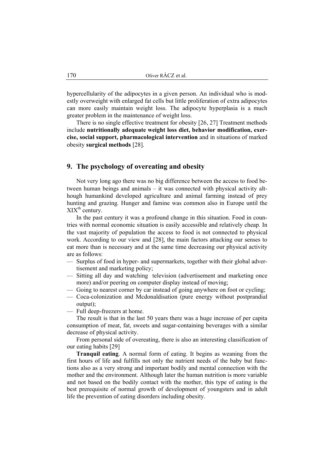hypercellularity of the adipocytes in a given person. An individual who is modestly overweight with enlarged fat cells but little proliferation of extra adipocytes can more easily maintain weight loss. The adipocyte hyperplasia is a much greater problem in the maintenance of weight loss.

There is no single effective treatment for obesity [26, 27] Treatment methods include **nutritionally adequate weight loss diet, behavior modification, exercise, social support, pharmacological intervention** and in situations of marked obesity **surgical methods** [28].

#### **9. The psychology of overeating and obesity**

Not very long ago there was no big difference between the access to food between human beings and animals – it was connected with physical activity although humankind developed agriculture and animal farming instead of prey hunting and grazing*.* Hunger and famine was common also in Europe until the  $XIX<sup>th</sup>$  century.

In the past century it was a profound change in this situation. Food in countries with normal economic situation is easily accessible and relatively cheap*.* In the vast majority of population the access to food is not connected to physical work. According to our view and [28], the main factors attacking our senses to eat more than is necessary and at the same time decreasing our physical activity are as follows:

- Surplus of food in hyper- and supermarkets, together with their global advertisement and marketing policy;
- Sitting all day and watching television (advertisement and marketing once more) and/or peering on computer display instead of moving;
- Going to nearest corner by car instead of going anywhere on foot or cycling;
- Coca-colonization and Mcdonaldisation (pure energy without postprandial output);
- Full deep-freezers at home.

The result is that in the last 50 years there was a huge increase of per capita consumption of meat, fat, sweets and sugar-containing beverages with a similar decrease of physical activity.

From personal side of overeating, there is also an interesting classification of our eating habits [29]

**Tranquil eating**. A normal form of eating. It begins as weaning from the first hours of life and fulfills not only the nutrient needs of the baby but functions also as a very strong and important bodily and mental connection with the mother and the environment. Although later the human nutrition is more variable and not based on the bodily contact with the mother, this type of eating is the best prerequisite of normal growth of development of youngsters and in adult life the prevention of eating disorders including obesity.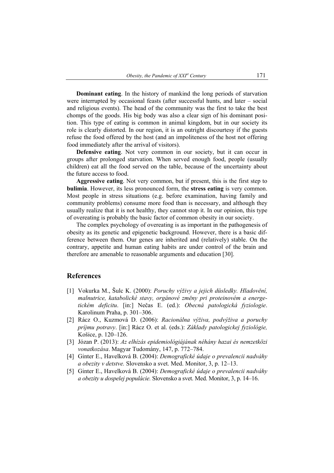**Dominant eating**. In the history of mankind the long periods of starvation were interrupted by occasional feasts (after successful hunts, and later – social and religious events). The head of the community was the first to take the best chomps of the goods. His big body was also a clear sign of his dominant position. This type of eating is common in animal kingdom, but in our society its role is clearly distorted. In our region, it is an outright discourtesy if the guests refuse the food offered by the host (and an impoliteness of the host not offering food immediately after the arrival of visitors).

**Defensive eating**. Not very common in our society, but it can occur in groups after prolonged starvation. When served enough food, people (usually children) eat all the food served on the table, because of the uncertainty about the future access to food.

**Aggressive eating**. Not very common, but if present, this is the first step to **bulimia**. However, its less pronounced form, the **stress eating** is very common. Most people in stress situations (e.g. before examination, having family and community problems) consume more food than is necessary, and although they usually realize that it is not healthy, they cannot stop it. In our opinion, this type of overeating is probably the basic factor of common obesity in our society.

The complex psychology of overeating is as important in the pathogenesis of obesity as its genetic and epigenetic background. However, there is a basic difference between them. Our genes are inherited and (relatively) stable. On the contrary, appetite and human eating habits are under control of the brain and therefore are amenable to reasonable arguments and education [30].

#### **References**

- [1] Vokurka M., Šulc K. (2000): *Poruchy výživy a jejich důsledky. Hladovění, malnutrice, katabolické stavy, orgánové změny pri proteinovém a energetickém deficitu*. [in:] Nečas E. (ed.): *Obecná patologická fyziologie*. Karolinum Praha, p. 301–306.
- [2] Rácz O., Kuzmová D. (2006): *Racionálna výživa, podvýživa a poruchy príjmu potravy*. [in:] Rácz O. et al. (eds.): *Základy patologickej fyziológie,* Košice, p. 120–126.
- [3] Józan P. (2013): *Az elhízás epidemiológiájának néhány hazai és nemzetközi vonatkozása*. Magyar Tudomány, 147, p. 772–784.
- [4] Ginter E., Havelková B. (2004): *Demografické údaje o prevalencii nadváhy a obezity v detstve.* Slovensko a svet. Med. Monitor, 3, p. 12–13.
- [5] Ginter E., Havelková B. (2004): *Demografické údaje o prevalencii nadváhy a obezity u dospelej populácie.* Slovensko a svet. Med. Monitor, 3, p. 14–16.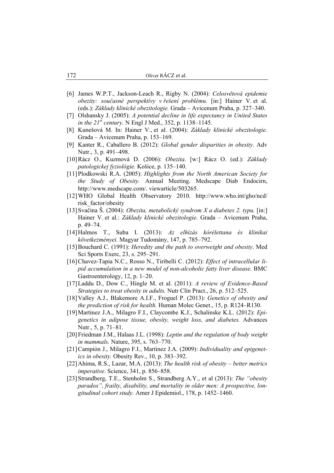- [6] James W.P.T., Jackson-Leach R., Rigby N. (2004): *Celosvětová epidemie obezity: současné perspektívy v řešení problému.* [in:] Hainer V. et al. (eds.): *Základy klinické obezitologie.* Grada – Avicenum Praha, p. 327–340.
- [7] Olshansky J. (2005): *A potential decline in life expectancy in United States in the 21st century.* N Engl J Med., 352, p. 1138–1145.
- [8] Kunešová M. In: Hainer V., et al. (2004): *Základy klinické obezitologie.* Grada – Avicenum Praha, p. 153–169.
- [9] Kanter R., Caballero B. (2012): *Global gender disparities in obesity.* Adv Nutr., 3, p. 491–498.
- [10] Rácz O., Kuzmová D. (2006): *Obezita.* [w:] Rácz O. (ed.): *Základy patologickej fyziológie.* Košice, p. 135–140.
- [11] Plodkowski R.A. (2005): *Highlights from the North American Society for the Study of Obesity.* Annual Meeting. Medscape Diab Endocirn, http://www.medscape.com/. viewarticle/503265.
- [12] WHO Global Health Observatory 2010. http://www.who.int/gho/ncd/ risk\_factor/obesity
- [13] Svačina Š. (2004): *Obezita, metabolický syndrom X a diabetes 2. typu.* [in:] Hainer V. et al.: *Základy klinické obezitologie*. Grada – Avicenum Praha, p. 49–74.
- [14] Halmos T., Suba I. (2013): *Az elhízás kórélettana és klinikai következményei.* Magyar Tudomány, 147, p. 785–792.
- [15] Bouchard C. (1991): *Heredity and the path to overweight and obesity*. Med Sci Sports Exerc, 23, s. 295–291.
- [16] Chavez-Tapia N.C., Rosso N., Tiribelli C. (2012): *Effect of intracellular lipid accumulation in a new model of non-alcoholic fatty liver disease.* BMC Gastroenterology, 12, p. 1–20.
- [17] Laddu D., Dow C., Hingle M. et al. (2011): *A review of Evidence-Based Strategies to treat obesity in adults.* Nutr Clin Pract., 26, p. 512–525.
- [18] Valley A.J., Blakemore A.I.F., Froguel P. (2013): *Genetics of obesity and the prediction of risk for health.* Human Molec Genet., 15, p. R124–R130.
- [19] Martinez J.A., Milagro F.I., Claycombe K.J., Schalinske K.L. (2012): *Epigenetics in adipose tissue, obesity, weight loss, and diabetes.* Advances Nutr., 5, p. 71–81.
- [20] Friedman J.M., Halaas J.L. (1998): *Leptin and the regulation of body weight in mammals.* Nature, 395, s. 763–770.
- [21] Campión J., Milagro F.I., Martinez J.A. (2009): *Individuality and epigenetics in obesity.* Obesity Rev., 10, p. 383–392.
- [22] Ahima, R.S., Lazar, M.A. (2013): *The health risk of obesity better metrics imperative*. Science, 341, p. 856–858.
- [23] Strandberg, T.E., Stenholm S., Strandberg A.Y., et al (2013): *The "obesity paradox", frailty, disability, and mortality in older men: A prospective, longitudinal cohort study.* Amer J Epidemiol., 178, p. 1452–1460.